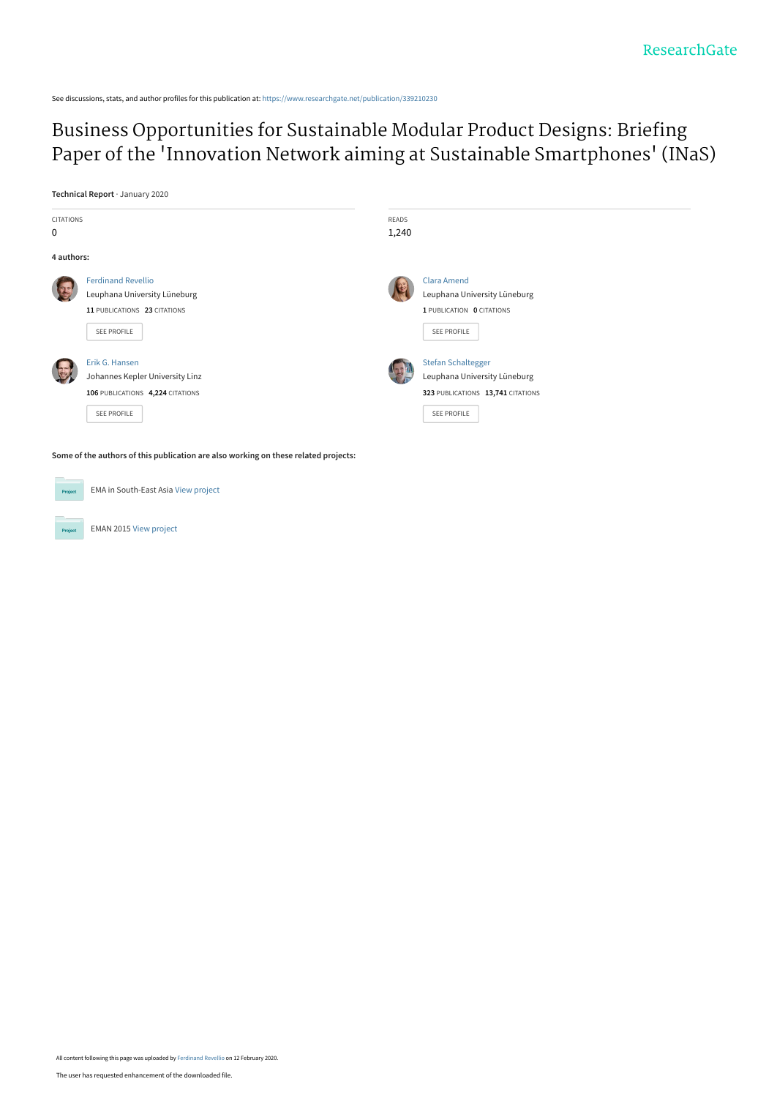See discussions, stats, and author profiles for this publication at: [https://www.researchgate.net/publication/339210230](https://www.researchgate.net/publication/339210230_Business_Opportunities_for_Sustainable_Modular_Product_Designs_Briefing_Paper_of_the_%27Innovation_Network_aiming_at_Sustainable_Smartphones%27_INaS?enrichId=rgreq-f5c2c55ea69965082fffd263c02bdd6d-XXX&enrichSource=Y292ZXJQYWdlOzMzOTIxMDIzMDtBUzo4NTc3ODU1MDM4NTg2ODhAMTU4MTUyMzQwOTE1Mw%3D%3D&el=1_x_2&_esc=publicationCoverPdf)

# Business Opportunities for Sustainable Modular Product Designs: Briefing Paper of the ['Innovation Network aiming at Sustainable Smartphones' \(INaS\)](https://www.researchgate.net/publication/339210230_Business_Opportunities_for_Sustainable_Modular_Product_Designs_Briefing_Paper_of_the_%27Innovation_Network_aiming_at_Sustainable_Smartphones%27_INaS?enrichId=rgreq-f5c2c55ea69965082fffd263c02bdd6d-XXX&enrichSource=Y292ZXJQYWdlOzMzOTIxMDIzMDtBUzo4NTc3ODU1MDM4NTg2ODhAMTU4MTUyMzQwOTE1Mw%3D%3D&el=1_x_3&_esc=publicationCoverPdf)

**Technical Report** · January 2020



**Some of the authors of this publication are also working on these related projects:**

EMA in South-East Asia [View project](https://www.researchgate.net/project/EMA-in-South-East-Asia?enrichId=rgreq-f5c2c55ea69965082fffd263c02bdd6d-XXX&enrichSource=Y292ZXJQYWdlOzMzOTIxMDIzMDtBUzo4NTc3ODU1MDM4NTg2ODhAMTU4MTUyMzQwOTE1Mw%3D%3D&el=1_x_9&_esc=publicationCoverPdf) Pro EMAN 2015 [View project](https://www.researchgate.net/project/EMAN-2015?enrichId=rgreq-f5c2c55ea69965082fffd263c02bdd6d-XXX&enrichSource=Y292ZXJQYWdlOzMzOTIxMDIzMDtBUzo4NTc3ODU1MDM4NTg2ODhAMTU4MTUyMzQwOTE1Mw%3D%3D&el=1_x_9&_esc=publicationCoverPdf)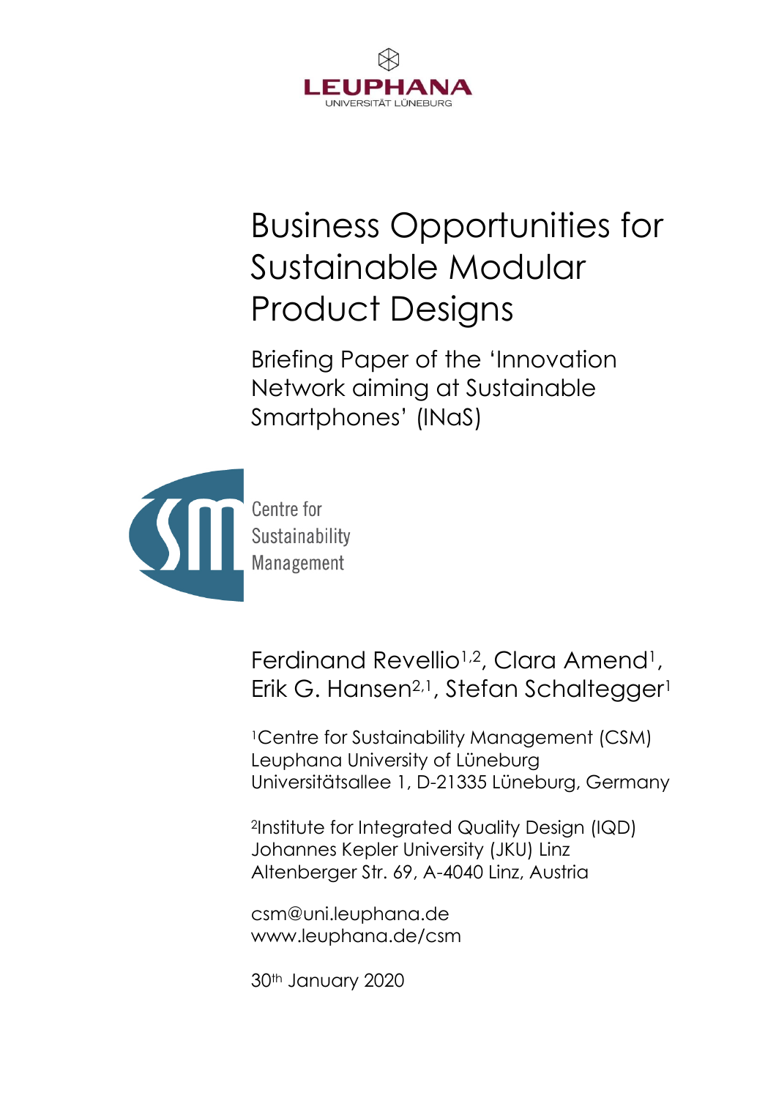

# Business Opportunities for Sustainable Modular Product Designs

Briefing Paper of the 'Innovation Network aiming at Sustainable Smartphones' (INaS)



Centre for Management

Ferdinand Revellio<sup>1,2</sup>, Clara Amend<sup>1</sup>, Erik G. Hansen<sup>2,1</sup>, Stefan Schaltegger<sup>1</sup>

<sup>1</sup>Centre for Sustainability Management (CSM) Leuphana University of Lüneburg Universitätsallee 1, D-21335 Lüneburg, Germany

<sup>2</sup>Institute for Integrated Quality Design (IQD) Johannes Kepler University (JKU) Linz Altenberger Str. 69, A-4040 Linz, Austria

csm@uni.leuphana.de www.leuphana.de/csm

30th January 2020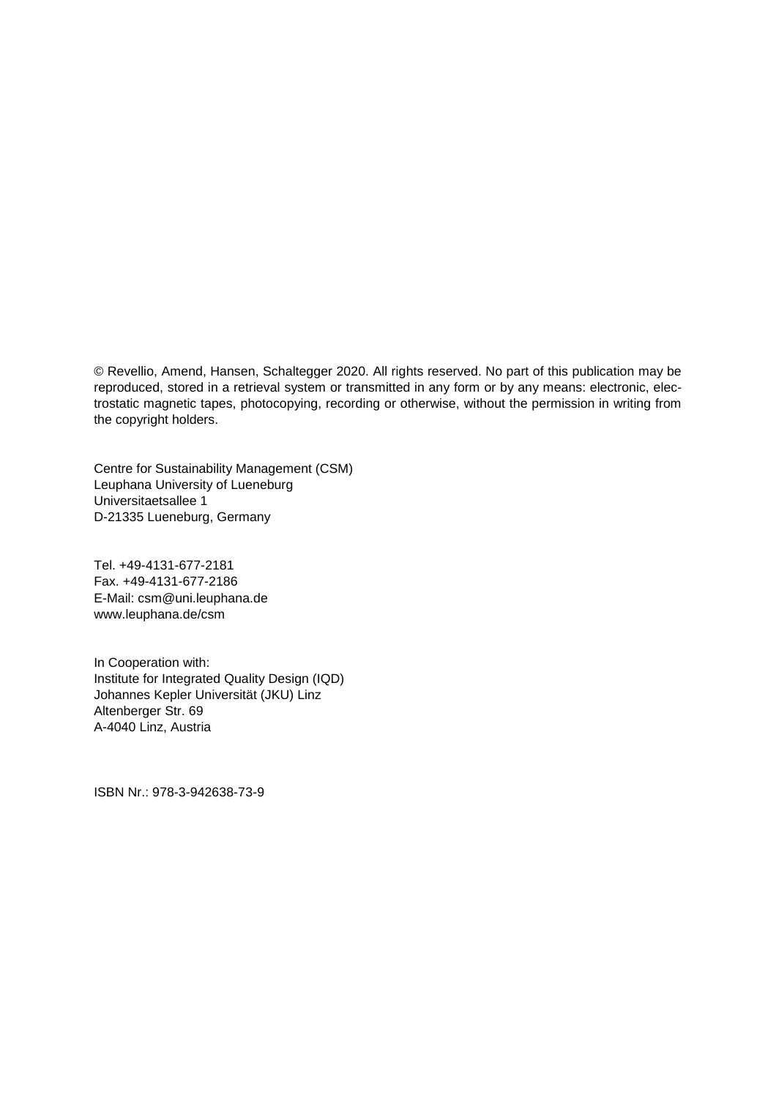© Revellio, Amend, Hansen, Schaltegger 2020. All rights reserved. No part of this publication may be reproduced, stored in a retrieval system or transmitted in any form or by any means: electronic, electrostatic magnetic tapes, photocopying, recording or otherwise, without the permission in writing from the copyright holders.

Centre for Sustainability Management (CSM) Leuphana University of Lueneburg Universitaetsallee 1 D-21335 Lueneburg, Germany

Tel. +49-4131-677-2181 Fax. +49-4131-677-2186 E-Mail: csm@uni.leuphana.de www.leuphana.de/csm

In Cooperation with: Institute for Integrated Quality Design (IQD) Johannes Kepler Universität (JKU) Linz Altenberger Str. 69 A-4040 Linz, Austria

ISBN Nr.: 978-3-942638-73-9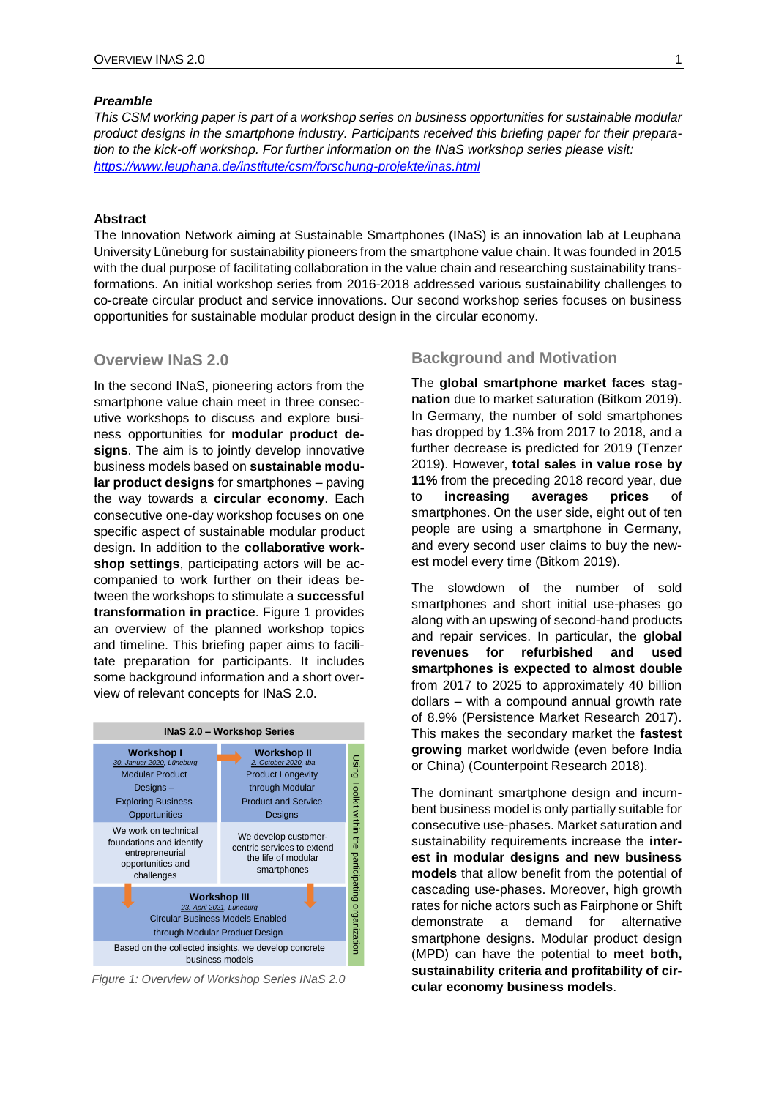#### *Preamble*

*This CSM working paper is part of a workshop series on business opportunities for sustainable modular product designs in the smartphone industry. Participants received this briefing paper for their preparation to the kick-off workshop. For further information on the INaS workshop series please visit: <https://www.leuphana.de/institute/csm/forschung-projekte/inas.html>*

#### **Abstract**

The Innovation Network aiming at Sustainable Smartphones (INaS) is an innovation lab at Leuphana University Lüneburg for sustainability pioneers from the smartphone value chain. It was founded in 2015 with the dual purpose of facilitating collaboration in the value chain and researching sustainability transformations. An initial workshop series from 2016-2018 addressed various sustainability challenges to co-create circular product and service innovations. Our second workshop series focuses on business opportunities for sustainable modular product design in the circular economy.

#### **Overview INaS 2.0**

In the second INaS, pioneering actors from the smartphone value chain meet in three consecutive workshops to discuss and explore business opportunities for **modular product designs**. The aim is to jointly develop innovative business models based on **sustainable modular product designs** for smartphones – paving the way towards a **circular economy**. Each **consecutive one-day workshop focuses on one**<br>specific aspect of sustainable modular product specific aspect of sustainable modular product design. In addition to the **collaborative workshop settings**, participating actors will be accompanied to work further on their ideas between the workshops to stimulate a **successful transformation in practice**. Figure 1 provides an overview of the planned workshop topics and timeline. This briefing paper aims to facilitate preparation for participants. It includes some background information and a short overview of relevant concepts for INaS 2.0.



*Figure 1: Overview of Workshop Series INaS 2.0*

#### **Background and Motivation**

The **global smartphone market faces stagnation** due to market saturation (Bitkom 2019). In Germany, the number of sold smartphones has dropped by 1.3% from 2017 to 2018, and a further decrease is predicted for 2019 (Tenzer 2019). However, **total sales in value rose by 11%** from the preceding 2018 record year, due to **increasing averages prices** of smartphones. On the user side, eight out of ten people are using a smartphone in Germany, and every second user claims to buy the newest model every time (Bitkom 2019).

The slowdown of the number of sold smartphones and short initial use-phases go along with an upswing of second-hand products and repair services. In particular, the **global revenues for refurbished and used smartphones is expected to almost double** from 2017 to 2025 to approximately 40 billion dollars – with a compound annual growth rate of 8.9% (Persistence Market Research 2017). This makes the secondary market the **fastest growing** market worldwide (even before India or China) (Counterpoint Research 2018).

The dominant smartphone design and incumbent business model is only partially suitable for consecutive use-phases. Market saturation and sustainability requirements increase the **interest in modular designs and new business models** that allow benefit from the potential of cascading use-phases. Moreover, high growth rates for niche actors such as Fairphone or Shift demonstrate a demand for alternative smartphone designs. Modular product design (MPD) can have the potential to **meet both, sustainability criteria and profitability of circular economy business models**.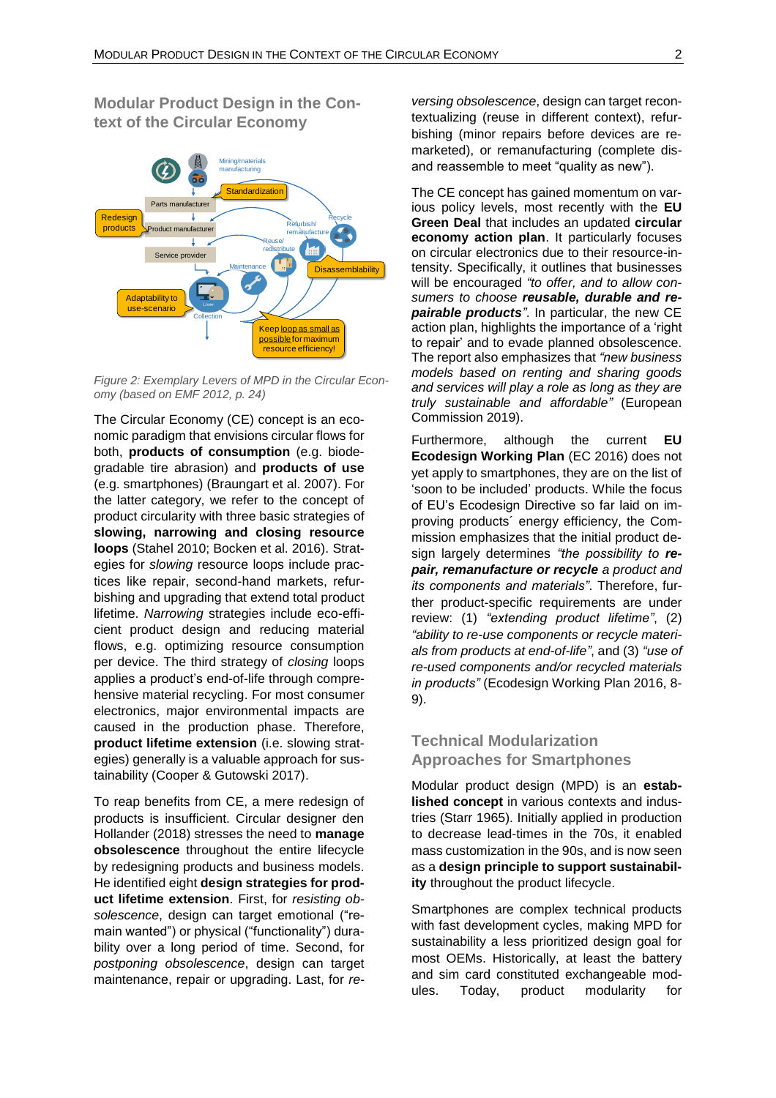**Modular Product Design in the Context of the Circular Economy**



*Figure 2: Exemplary Levers of MPD in the Circular Economy (based on EMF 2012, p. 24)*

The Circular Economy (CE) concept is an economic paradigm that envisions circular flows for both, **products of consumption** (e.g. biodegradable tire abrasion) and **products of use** (e.g. smartphones) (Braungart et al. 2007). For the latter category, we refer to the concept of product circularity with three basic strategies of **slowing, narrowing and closing resource loops** (Stahel 2010; Bocken et al. 2016). Strategies for *slowing* resource loops include practices like repair, second-hand markets, refurbishing and upgrading that extend total product lifetime. *Narrowing* strategies include eco-efficient product design and reducing material flows, e.g. optimizing resource consumption per device. The third strategy of *closing* loops applies a product's end-of-life through comprehensive material recycling. For most consumer electronics, major environmental impacts are caused in the production phase. Therefore, **product lifetime extension** (i.e. slowing strategies) generally is a valuable approach for sustainability (Cooper & Gutowski 2017).

To reap benefits from CE, a mere redesign of products is insufficient. Circular designer den Hollander (2018) stresses the need to **manage obsolescence** throughout the entire lifecycle by redesigning products and business models. He identified eight **design strategies for product lifetime extension**. First, for *resisting obsolescence*, design can target emotional ("remain wanted") or physical ("functionality") durability over a long period of time. Second, for *postponing obsolescence*, design can target maintenance, repair or upgrading. Last, for *re-* *versing obsolescence*, design can target recontextualizing (reuse in different context), refurbishing (minor repairs before devices are remarketed), or remanufacturing (complete disand reassemble to meet "quality as new").

The CE concept has gained momentum on various policy levels, most recently with the **EU Green Deal** that includes an updated **circular economy action plan**. It particularly focuses on circular electronics due to their resource-intensity. Specifically, it outlines that businesses will be encouraged *"to offer, and to allow consumers to choose reusable, durable and repairable products"*. In particular, the new CE action plan, highlights the importance of a 'right to repair' and to evade planned obsolescence. The report also emphasizes that *"new business models based on renting and sharing goods and services will play a role as long as they are truly sustainable and affordable"* (European Commission 2019).

Furthermore, although the current **EU Ecodesign Working Plan** (EC 2016) does not yet apply to smartphones, they are on the list of 'soon to be included' products. While the focus of EU's Ecodesign Directive so far laid on improving products´ energy efficiency, the Commission emphasizes that the initial product design largely determines *"the possibility to repair, remanufacture or recycle a product and its components and materials"*. Therefore, further product-specific requirements are under review: (1) *"extending product lifetime"*, (2) *"ability to re-use components or recycle materials from products at end-of-life"*, and (3) *"use of re-used components and/or recycled materials in products"* (Ecodesign Working Plan 2016, 8- 9).

## **Technical Modularization Approaches for Smartphones**

Modular product design (MPD) is an **established concept** in various contexts and industries (Starr 1965). Initially applied in production to decrease lead-times in the 70s, it enabled mass customization in the 90s, and is now seen as a **design principle to support sustainability** throughout the product lifecycle.

Smartphones are complex technical products with fast development cycles, making MPD for sustainability a less prioritized design goal for most OEMs. Historically, at least the battery and sim card constituted exchangeable modules. Today, product modularity for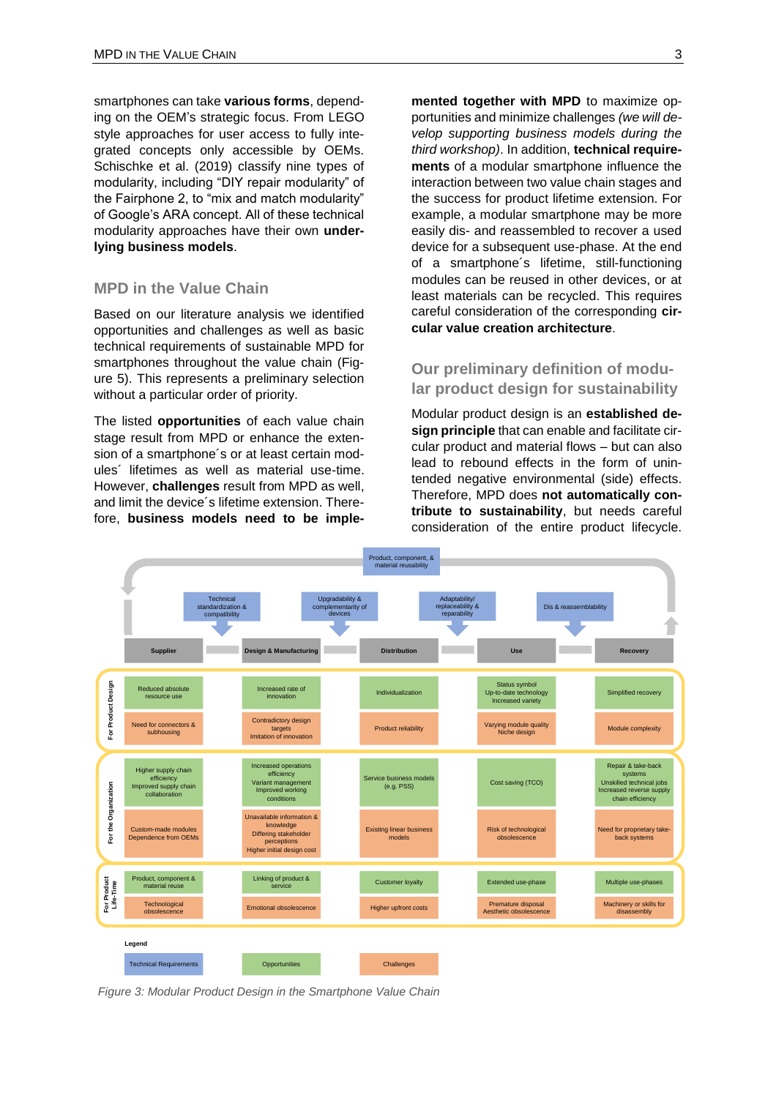smartphones can take **various forms**, depending on the OEM's strategic focus. From LEGO style approaches for user access to fully integrated concepts only accessible by OEMs. Schischke et al. (2019) classify nine types of modularity, including "DIY repair modularity" of the Fairphone 2, to "mix and match modularity" of Google's ARA concept. All of these technical modularity approaches have their own **underlying business models**.

#### **MPD in the Value Chain**

Based on our literature analysis we identified opportunities and challenges as well as basic technical requirements of sustainable MPD for smartphones throughout the value chain (Figure 5). This represents a preliminary selection without a particular order of priority.

The listed **opportunities** of each value chain stage result from MPD or enhance the extension of a smartphone´s or at least certain modules´ lifetimes as well as material use-time. However, **challenges** result from MPD as well, and limit the device's lifetime extension. Therefore, **business models need to be imple-** **mented together with MPD** to maximize opportunities and minimize challenges *(we will develop supporting business models during the third workshop)*. In addition, **technical requirements** of a modular smartphone influence the interaction between two value chain stages and the success for product lifetime extension. For example, a modular smartphone may be more easily dis- and reassembled to recover a used device for a subsequent use-phase. At the end of a smartphone´s lifetime, still-functioning modules can be reused in other devices, or at least materials can be recycled. This requires careful consideration of the corresponding **circular value creation architecture**.

### **Our preliminary definition of modular product design for sustainability**

Modular product design is an **established design principle** that can enable and facilitate circular product and material flows – but can also lead to rebound effects in the form of unintended negative environmental (side) effects. Therefore, MPD does **not automatically contribute to sustainability**, but needs careful consideration of the entire product lifecycle.



*Figure 3: Modular Product Design in the Smartphone Value Chain*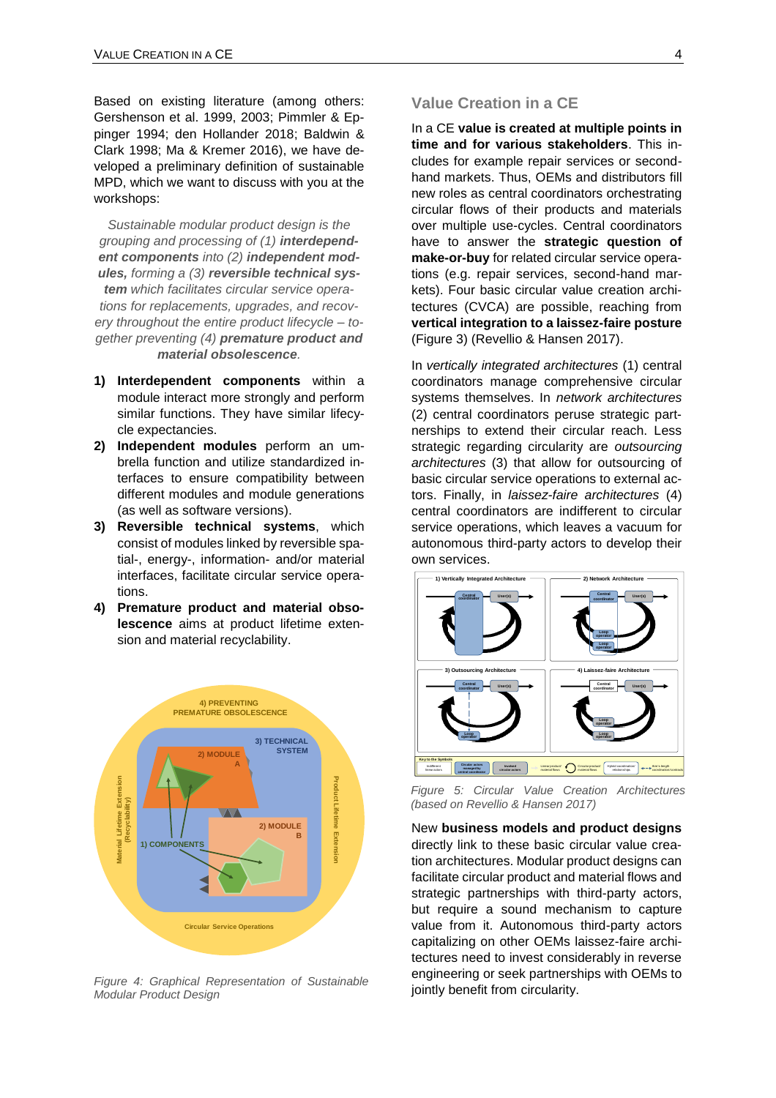Based on existing literature (among others: Gershenson et al. 1999, 2003; Pimmler & Eppinger 1994; den Hollander 2018; Baldwin & Clark 1998; Ma & Kremer 2016), we have developed a preliminary definition of sustainable MPD, which we want to discuss with you at the workshops:

*Sustainable modular product design is the grouping and processing of (1) interdependent components into (2) independent modules, forming a (3) reversible technical system which facilitates circular service operations for replacements, upgrades, and recovery throughout the entire product lifecycle – together preventing (4) premature product and material obsolescence.*

- **1) Interdependent components** within a module interact more strongly and perform similar functions. They have similar lifecycle expectancies.
- **2) Independent modules** perform an umbrella function and utilize standardized interfaces to ensure compatibility between different modules and module generations (as well as software versions).
- **3) Reversible technical systems**, which consist of modules linked by reversible spatial-, energy-, information- and/or material interfaces, facilitate circular service operations.
- **4) Premature product and material obsolescence** aims at product lifetime extension and material recyclability.



*Figure 4: Graphical Representation of Sustainable Modular Product Design*

#### **Value Creation in a CE**

In a CE **value is created at multiple points in time and for various stakeholders**. This includes for example repair services or secondhand markets. Thus, OEMs and distributors fill new roles as central coordinators orchestrating circular flows of their products and materials over multiple use-cycles. Central coordinators have to answer the **strategic question of make-or-buy** for related circular service operations (e.g. repair services, second-hand markets). Four basic circular value creation architectures (CVCA) are possible, reaching from **vertical integration to a laissez-faire posture** (Figure 3) (Revellio & Hansen 2017).

In *vertically integrated architectures* (1) central coordinators manage comprehensive circular systems themselves. In *network architectures* (2) central coordinators peruse strategic partnerships to extend their circular reach. Less strategic regarding circularity are *outsourcing architectures* (3) that allow for outsourcing of basic circular service operations to external actors. Finally, in *laissez-faire architectures* (4) central coordinators are indifferent to circular service operations, which leaves a vacuum for autonomous third-party actors to develop their own services.



*Figure 5: Circular Value Creation Architectures (based on Revellio & Hansen 2017)*

New **business models and product designs** directly link to these basic circular value creation architectures. Modular product designs can facilitate circular product and material flows and strategic partnerships with third-party actors, but require a sound mechanism to capture value from it. Autonomous third-party actors capitalizing on other OEMs laissez-faire architectures need to invest considerably in reverse engineering or seek partnerships with OEMs to jointly benefit from circularity.